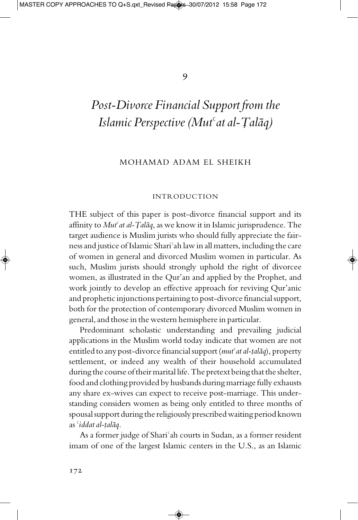# *Post-Divorce Financial Support fromthe Islamic Perspective (Mut<sup>c</sup>at al-Talaq)*

#### MOHAMAD ADAM EL SHEIKH

#### INTRODUCTION

THE subject of this paper is post-divorce financial support and its affinity to *Mut<sup>c</sup>at al-Talaq*, as we know it in Islamic jurisprudence. The target audience is Muslim jurists who should fully appreciate the fairnessand justice of Islamic Shari¢ah law in all matters, including the care of women in general and divorced Muslim women in particular. As such, Muslim jurists should strongly uphold the right of divorcee women, as illustrated in the Qur'an and applied by the Prophet, and work jointly to develop an effective approach for reviving Qur'anic and prophetic injunctions pertaining to post-divorce financial support, both for the protection of contemporary divorced Muslim women in general, and those in the western hemisphere in particular.

Predominant scholastic understanding and prevailing judicial applications in the Muslim world today indicate that women are not entitled to any post-divorce financial support (*mut<sup>c</sup>at al-talaq*), property settlement, or indeed any wealth of their household accumulated during the course of their marital life. The pretext being that the shelter, food and clothing provided by husbands during marriage fully exhausts any share ex-wives can expect to receive post-marriage. This understanding considers women as being only entitled to three months of spousal support during the religiously prescribed waiting period known as *'iddat al-talāq*.

As a former judge of Shari<sup>c</sup>ah courts in Sudan, as a former resident imam of one of the largest Islamic centers in the U.S., as an Islamic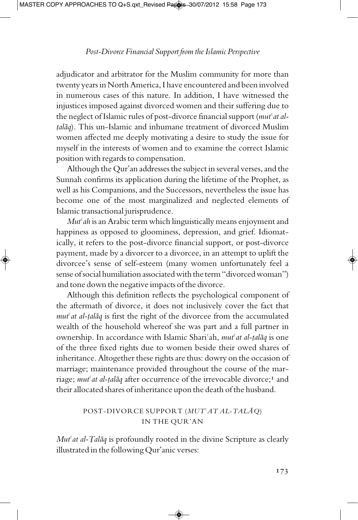adjudicator and arbitrator for the Muslim community for more than twenty years in North America, I have encountered and been involved in numerous cases of this nature. In addition, I have witnessed the injustices imposed against divorced women and their suffering due to the neglect of Islamic rules of post-divorce financial support (*mut¢at al talāq*). This un-Islamic and inhumane treatment of divorced Muslim women affected me deeply motivating a desire to study the issue for myself in the interests of women and to examine the correct Islamic position with regards to compensation.

Although the Qur'an addresses the subject in several verses, and the Sunnah confirms its application during the lifetime of the Prophet, as well as his Companions, and the Successors, nevertheless the issue has become one of the most marginalized and neglected elements of Islamic transactional jurisprudence.

*Mut<sup>c</sup>ah* is an Arabic term which linguistically means enjoyment and happiness as opposed to gloominess, depression, and grief. Idiomatically, it refers to the post-divorce financial support, or post-divorce payment, made by a divorcer to a divorcee, in an attempt to uplift the divorcee's sense of self-esteem (many women unfortunately feel a sense of social humiliation associated with the term "divorced woman") and tone down the negative impacts of the divorce.

Although this definition reflects the psychological component of the aftermath of divorce, it does not inclusively cover the fact that *mut<sup>c</sup>at al-talaq* is first the right of the divorcee from the accumulated wealth of the household whereof she was part and a full partner in ownership. In accordance with Islamic Shari<sup>c</sup>ah, *mut<sup>c</sup>at al-țalāq* is one of the three fixed rights due to women beside their owed shares of inheritance. Altogether these rights are thus: dowry on the occasion of marriage; maintenance provided throughout the course of the marriage; *mut<sup>c</sup>at al-talaq* after occurrence of the irrevocable divorce;<sup>1</sup> and their allocated shares of inheritance upon the death of the husband.

## POST-DIVORCE SUPPORT (*MUT<sup>«</sup>AT AL-ȚALĀQ*) IN THE QUR'AN

*Mut<sup>c</sup>at al-Talāq* is profoundly rooted in the divine Scripture as clearly illustrated in the following Qur'anic verses: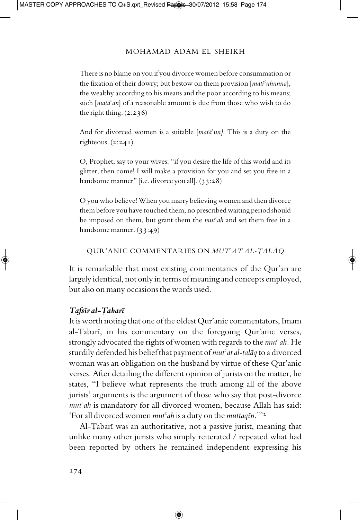There is no blame on you if you divorce women before consummation or the fixation of their dowry; but bestow on them provision [*mati¢uhunna*], the wealthy according to his means and the poor according to his means; such [*mata<sup>c</sup>an*] of a reasonable amount is due from those who wish to do the right thing.  $(2:236)$ 

And for divorced women is a suitable  $[mata<sup>c</sup>un]$ . This is a duty on the righteous. (2:241)

O, Prophet, say to your wives: "if you desire the life of this world and its glitter, then come! I will make a provision for you and set you free in a handsome manner" [i.e. divorce you all]. (33:28)

O you who believe! When you marry believing women and then divorce thembefore you have touched them, no prescribed waiting period should be imposed on them, but grant them the *mut¢ah* and set them free in a handsome manner. (33:49)

QUR'ANIC COMMENTARIES ON *MUT<sup>«</sup>AT AL-ȚALĀQ* 

It is remarkable that most existing commentaries of the Qur'an are largely identical, not only in terms of meaning and concepts employed, butalso on many occasions the words used.

#### *TafsÏr al->abarÏ*

It is worth noting that one of the oldest Qur'anic commentators, Imam al-Tabarī, in his commentary on the foregoing Qur'anic verses, strongly advocated the rights of women with regards to the *mut<sup>c</sup>ah*. He sturdily defended his belief that payment of *mut<sup>c</sup>at al-talaq* to a divorced woman was an obligation on the husband by virtue of these Qur'anic verses. After detailing the different opinion of jurists on the matter, he states, "I believe what represents the truth among all of the above jurists' arguments is the argument of those who say that post-divorce *mut¢ah* is mandatory for all divorced women, because Allah has said: 'Forall divorced women*mut¢ah* isa duty on the*muttaqÏn*.'"<sup>2</sup>

Al-Tabarī was an authoritative, not a passive jurist, meaning that unlike many other jurists who simply reiterated / repeated what had been reported by others he remained independent expressing his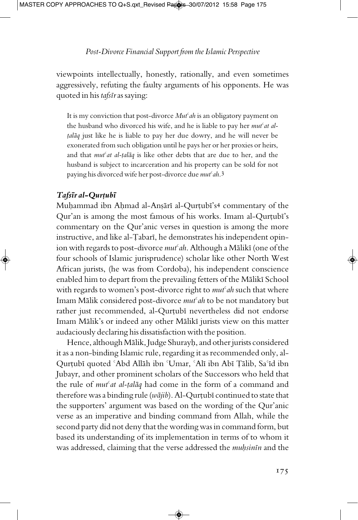viewpoints intellectually, honestly, rationally, and even sometimes aggressively, refuting the faulty arguments of his opponents. He was quoted in his *tafsÏr*as saying:

It is my conviction that post-divorce *Mut<sup>c</sup>ah* is an obligatory payment on the husband who divorced his wife, and he is liable to pay her *mut¢at al talāq* just like he is liable to pay her due dowry, and he will never be exonerated from such obligation until he pays her or her proxies or heirs, and that *mut<sup>c</sup>at al-talaq* is like other debts that are due to her, and the husband is subject to incarceration and his property can be sold for not paying his divorced wife her post-divorce due*mut¢ah*. 3

#### $Tafs\bar{i}r$ *al*-Qurțubī

Muhammad ibn Ahmad al-Anșārī al-Qurțubī's4 commentary of the Qur'an is among the most famous of his works. Imam al-Qurțubī's commentary on the Qur'anic verses in question is among the more instructive, and like al-Țabarī, he demonstrates his independent opinion with regards to post-divorce *mut<sup>c</sup>ah*. Although a Mālikī (one of the four schools of Islamic jurisprudence) scholar like other North West African jurists, (he was from Cordoba), his independent conscience enabled him to depart from the prevailing fetters of the Mālikī School with regards to women's post-divorce right to *mut*<sup>c</sup>ah such that where Imam Mālik considered post-divorce *mut<sup>c</sup>ah* to be not mandatory but rather just recommended, al-Qurtubī nevertheless did not endorse Imam Mālik's or indeed any other Mālikī jurists view on this matter audaciously declaring his dissatisfaction with the position.

Hence, although Mālik, Judge Shurayh, and other jurists considered it as a non-binding Islamic rule, regarding it as recommended only, al-Qurțubī quoted 'Abd Allāh ibn 'Umar, 'Alī ibn Abī Țālib, Sa'īd ibn Jubayr, and other prominent scholars of the Successors who held that the rule of *mut<sup>c</sup>at al-talaq* had come in the form of a command and therefore was a binding rule (*wājib*). Al-Qurțubī continued to state that the supporters' argument was based on the wording of the Qur'anic verse as an imperative and binding command from Allah, while the second party did not deny that the wording was in command form, but based its understanding of its implementation in terms of to whom it was addressed, claiming that the verse addressed the *muhsinin* and the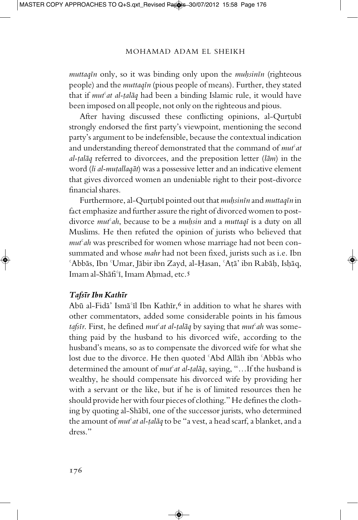*muttaqÏn* only, so it was binding only upon the *mu^sinÏn* (righteous people) and the *muttaqÏn* (pious people of means). Further, they stated that if *mut<sup>c</sup>at al-talaq* had been a binding Islamic rule, it would have been imposed on all people, not only on the righteous and pious.

After having discussed these conflicting opinions, al-Qurțubī strongly endorsed the first party's viewpoint, mentioning the second party's argument to be indefensible, because the contextual indication and understanding thereof demonstrated that the command of *mut<sup>c</sup>at al-talāq* referred to divorcees, and the preposition letter (*lām*) in the word (*li al-muțallaqāt*) was a possessive letter and an indicative element that gives divorced women an undeniable right to their post-divorce financial shares.

Furthermore, al-Qurțubī pointed out that *muhsinīn* and *muttaqīn* in fact emphasize and further assure the right of divorced women to postdivorce *mut¢ah*, because to be a *mu^sin* and a *muttaqÏ* is a duty on all Muslims. He then refuted the opinion of jurists who believed that *mut¢ah* was prescribed for women whose marriage had not been consummated and whose *mahr* had not been fixed, jurists such as i.e. Ibn  $\Delta$ bbās, Ibn °Umar, Jābir ibn Zayd, al-Ḥasan, ʿAṭā' ibn Rabāḥ, Isḥāq, Imam al-Shāfi<sup>c</sup>ī, Imam Ahmad, etc.5

#### *TafsÏr Ibn KathÏr*

Abū al-Fidā' Ismā'īl Ibn Kathīr,<sup>6</sup> in addition to what he shares with other commentators, added some considerable points in his famous *tafsīr*. First, he defined *mut<sup>c</sup>at al-talāq* by saying that *mut<sup>c</sup>ah* was something paid by the husband to his divorced wife, according to the husband's means, so as to compensate the divorced wife for what she lost due to the divorce. He then quoted 'Abd Allāh ibn 'Abbās who determined the amount of *mut<sup>c</sup>at al-talaq*, saying, "...If the husband is wealthy, he should compensate his divorced wife by providing her with a servant or the like, but if he is of limited resources then he should provide her with four pieces of clothing." He defines the clothing by quoting al-Shābī, one of the successor jurists, who determined the amount of *mut<sup>c</sup>at al-talaq* to be "a vest, a head scarf, a blanket, and a dress."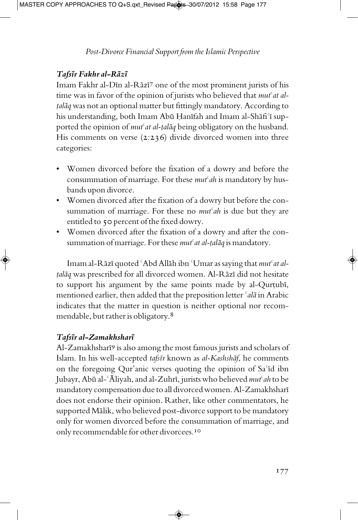## $Tafs\bar{\imath}r$  *Fakhr* al-R $\bar{a}z\bar{\imath}$

Imam Fakhr al-Dīn al-Rāzī7 one of the most prominent jurists of his time was in favor of the opinion of jurists who believed that *mut<sup>c</sup>at altalāq* was not an optional matter but fittingly mandatory. According to his understanding, both Imam Abū Ḥanīfah and Imam al-Shāfi'ī supported the opinion of *mut<sup>c</sup>at al-talaq* being obligatory on the husband. His comments on verse (2:236) divide divorced women into three categories:

- Women divorced before the fixation of a dowry and before the consummation of marriage. For these *mut<sup>c</sup>ah* is mandatory by husbands upon divorce.
- Women divorced after the fixation of a dowry but before the consummation of marriage. For these no *mut¢ah* is due but they are entitled to 50 percent of the fixed dowry.
- Women divorced after the fixation of a dowry and after the consummation of marriage. For these *mut<sup>c</sup>at al-talaq* is mandatory.

Imam al-R $\bar{a}z\bar{i}$  quoted <sup> $\zeta$ </sup>Abd All $\bar{a}h$  ibn  $\zeta$ Umar as saying that *mut<sup>* $\zeta$ *at al-*</sup> *talāq* was prescribed for all divorced women. Al-Rāzī did not hesitate to support his argument by the same points made by al-Qurtubi, mentioned earlier, then added that the preposition letter *<sup>c</sup>ala* in Arabic indicates that the matter in question is neither optional nor recommendable, but rather is obligatory. $8$ 

## *TafsÏr al-ZamakhsharÏ*

Al-Zamakhsharī9 is also among the most famous jurists and scholars of Islam. In his well-accepted *tafsīr* known as *al-Kashshāf*, he comments on the foregoing Qur'anic verses quoting the opinion of Sa'id ibn Jubayr, Abū al-<sup>c</sup>Āliyah, and al-Zuhrī, jurists who believed *mut<sup>c</sup>ah* to be mandatory compensation due to all divorced women. Al-Zamakhsharī does not endorse their opinion. Rather, like other commentators, he supported Mālik, who believed post-divorce support to be mandatory only for women divorced before the consummation of marriage, and only recommendable for other divorcees.<sup>10</sup>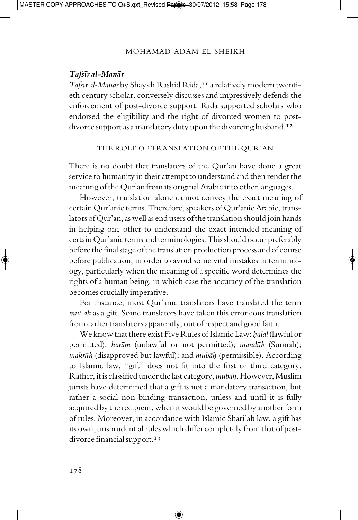#### *TafsÏr al-Man¥r*

*Tafsīr al-Manār* by Shaykh Rashid Rida,<sup>11</sup> a relatively modern twentieth century scholar, conversely discusses and impressively defends the enforcement of post-divorce support. Rida supported scholars who endorsed the eligibility and the right of divorced women to postdivorce support as a mandatory duty upon the divorcing husband.<sup>12</sup>

THE ROLE OF TRANSLATION OF THE QUR'AN

There is no doubt that translators of the Qur'an have done a great service to humanity in their attempt to understand and then render the meaning of the Qur'an from its original Arabic into other languages.

However, translation alone cannot convey the exact meaning of certain Qur'anic terms. Therefore, speakers of Qur'anic Arabic, translators of Qur'an, as well as end users of the translation should join hands in helping one other to understand the exact intended meaning of certain Qur'anic termsand terminologies.Thisshould occur preferably before the final stage of the translation production process and of course before publication, in order to avoid some vital mistakes in terminology, particularly when the meaning of a specific word determines the rights of a human being, in which case the accuracy of the translation becomes crucially imperative.

For instance, most Qur'anic translators have translated the term *mut¢ah* as a gift. Some translators have taken this erroneous translation from earlier translators apparently, out of respect and good faith.

We know that there exist Five Rules of Islamic Law: *halāl* (lawful or permitted); *harām* (unlawful or not permitted); *mandūb* (Sunnah); *makrūh* (disapproved but lawful); and *mubāḥ* (permissible). According to Islamic law, "gift" does not fit into the first or third category. Rather, it is classified under the last category, mubah. However, Muslim jurists have determined that a gift is not a mandatory transaction, but rather a social non-binding transaction, unless and until it is fully acquired by the recipient, when it would be governed by another form of rules. Moreover, in accordance with Islamic Shari¢ah law, a gift has its own jurisprudential rules which differ completely from that of postdivorce financial support.<sup>13</sup>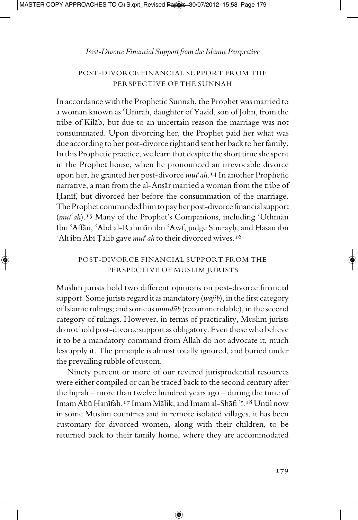#### *Post-Divorce Financial Support from the Islamic Perspective*

#### POST-DIVORCE FINANCIAL SUPPORT FROM THE PERSPECTIVE OF THE SUNNAH

In accordance with the Prophetic Sunnah, the Prophet was married to a woman known as 'Umrah, daughter of Yazīd, son of John, from the tribe of Kilab, but due to an uncertain reason the marriage was not consummated. Upon divorcing her, the Prophet paid her what was due according to her post-divorce right and sent her back to her family. In this Prophetic practice, we learn that despite the short time she spent in the Prophet house, when he pronounced an irrevocable divorce upon her, he granted her post-divorce *mut¢ah*.<sup>14</sup> In another Prophetic narrative, a man from the al-Ansar married a woman from the tribe of Hanīf, but divorced her before the consummation of the marriage. The Prophet commanded himto pay her post-divorce financialsupport (*mut<sup>c</sup>ah*).<sup>15</sup> Many of the Prophet's Companions, including 'Uthman Ibn 'Affān, 'Abd al-Raḥmān ibn 'Awf, judge Shurayḥ, and Ḥasan ibn <sup>6</sup>Alī ibn Abī Țālib gave *mut<sup>6</sup> ah* to their divorced wives.<sup>16</sup>

## POST-DIVORCE FINANCIAL SUPPORT FROM THE PERSPECTIVE OF MUSLIM JURISTS

Muslim jurists hold two different opinions on post-divorce financial support. Some jurists regard it as mandatory (*wājib*), in the first category of Islamic rulings; and some as *mundub* (recommendable), in the second category of rulings. However, in terms of practicality, Muslim jurists do not hold post-divorce supportas obligatory.Even thosewho believe it to be a mandatory command from Allah do not advocate it, much less apply it. The principle is almost totally ignored, and buried under the prevailing rubble of custom.

Ninety percent or more of our revered jurisprudential resources were either compiled or can be traced back to the second century after the hijrah – more than twelve hundred years ago – during the time of Imam Abū Hanīfah,<sup>17</sup> Imam Mālik, and Imam al-Shāfi <sup>e</sup>ī.<sup>18</sup> Until now in some Muslim countries and in remote isolated villages, it has been customary for divorced women, along with their children, to be returned back to their family home, where they are accommodated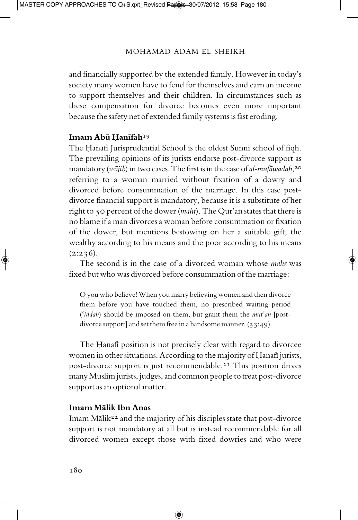and financially supported by the extended family. However in today's society many women have to fend for themselves and earn an income to support themselves and their children. In circumstances such as these compensation for divorce becomes even more important because the safety net of extended family systems is fast eroding.

#### **Imam Ab‰ ¤anÏfah**19

The Hanafi Jurisprudential School is the oldest Sunni school of fiqh. The prevailing opinions of its jurists endorse post-divorce support as mandatory (*wājib*) in two cases. The first is in the case of *al-mufāwadah*,<sup>20</sup> referring to a woman married without fixation of a dowry and divorced before consummation of the marriage. In this case postdivorce financial support is mandatory, because it is a substitute of her right to 50 percent of the dower (*mahr*). The Qur'an states that there is no blame ifa man divorcesa woman before consummation or fixation of the dower, but mentions bestowing on her a suitable gift, the wealthy according to his means and the poor according to his means  $(2:236).$ 

The second is in the case of a divorced woman whose *mahr* was fixed but who was divorced before consummation of the marriage:

O you who believe! When you marry believing women and then divorce them before you have touched them, no prescribed waiting period (*¢iddah*) should be imposed on them, but grant them the *mut¢ah* [postdivorce support] and set them free in a handsome manner. (33:49)

The Hanafi position is not precisely clear with regard to divorcee women in other situations. According to the majority of Hanafi jurists, post-divorce support is just recommendable.<sup>21</sup> This position drives many Muslim jurists, judges, and common people to treat post-divorce support as an optional matter.

#### **Imam M¥lik Ibn Anas**

Imam M $\bar{a}$ lik<sup>22</sup> and the majority of his disciples state that post-divorce support is not mandatory at all but is instead recommendable for all divorced women except those with fixed dowries and who were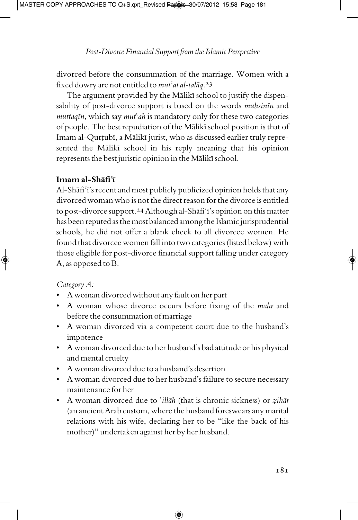divorced before the consummation of the marriage. Women with a fixed dowry are not entitled to *mut<sup>c</sup>at al-talaq*.<sup>23</sup>

The argument provided by the Mālikī school to justify the dispensability of post-divorce support is based on the words *muhsinin* and *muttaqin*, which say *mut<sup>c</sup>ah* is mandatory only for these two categories of people. The best repudiation of the Mālikī school position is that of Imam al-Qurțubī, a Mālikī jurist, who as discussed earlier truly represented the Mālikī school in his reply meaning that his opinion represents the best juristic opinion in the Mālikī school.

## **Imam** al-Shafi<sup>T</sup>

Al-Shafi<sup>'</sup>i's recent and most publicly publicized opinion holds that any divorced woman who is not the direct reason for the divorce is entitled to post-divorce support.<sup>24</sup> Although al-Shafi'i's opinion on this matter has been reputed as the most balanced among the Islamic jurisprudential schools, he did not offer a blank check to all divorcee women. He found that divorcee women fall into two categories (listed below) with those eligible for post-divorce financial support falling under category A, as opposed to B.

## *CategoryA:*

- A woman divorced withoutany fault on her part
- A woman whose divorce occurs before fixing of the *mahr* and before the consummation of marriage
- A woman divorced via a competent court due to the husband's impotence
- A woman divorced due to her husband's bad attitude or his physical and mental cruelty
- A woman divorced due to a husband's desertion
- A woman divorced due to her husband's failure to secure necessary maintenance for her
- A woman divorced due to '*illāh* (that is chronic sickness) or *zihār* (an ancient Arab custom, where the husband foreswears any marital relations with his wife, declaring her to be "like the back of his mother)" undertaken against her by her husband.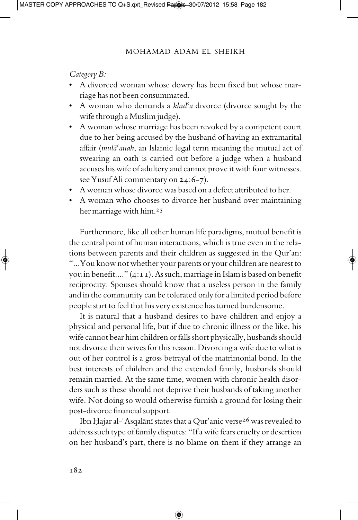*Category B:*

- A divorced woman whose dowry has been fixed but whose marriage has not been consummated.
- A woman who demands a *khul¢a* divorce (divorce sought by the wife through a Muslim judge).
- A woman whose marriage has been revoked by a competent court due to her being accused by the husband of having an extramarital affair (*mula<sup>c</sup>anah*, an Islamic legal term meaning the mutual act of swearing an oath is carried out before a judge when a husband accuses his wife of adultery and cannot prove it with four witnesses. see YusufAli commentary on 24:6-7).
- A woman whose divorce was based on a defect attributed to her.
- A woman who chooses to divorce her husband over maintaining her marriage with him.<sup>25</sup>

Furthermore, like all other human life paradigms, mutual benefit is the central point of human interactions, which is true even in the relations between parents and their children as suggested in the Qur'an: "...You know not whether your parents or your children are nearest to you in benefit...."  $(4:II)$ . As such, marriage in Islam is based on benefit reciprocity. Spouses should know that a useless person in the family and in the community can be tolerated only for a limited period before people start to feel that his very existence has turned burdensome.

It is natural that a husband desires to have children and enjoy a physical and personal life, but if due to chronic illness or the like, his wife cannot bear him children or falls short physically, husbands should not divorce their wives for this reason. Divorcing a wife due to what is out of her control is a gross betrayal of the matrimonial bond. In the best interests of children and the extended family, husbands should remain married. At the same time, women with chronic health disorders such as these should not deprive their husbands of taking another wife. Not doing so would otherwise furnish a ground for losing their post-divorce financial support.

Ibn Hajar al-'Asqalānī states that a Qur'anic verse<sup>26</sup> was revealed to address such type of family disputes: "Ifa wife fears cruelty or desertion on her husband's part, there is no blame on them if they arrange an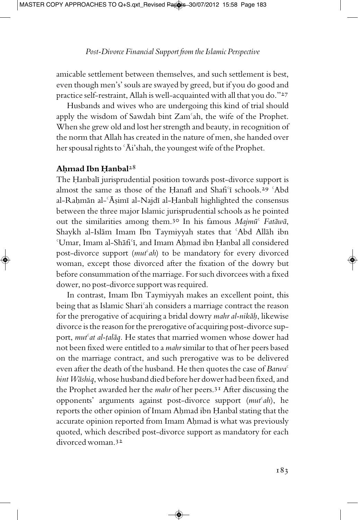amicable settlement between themselves, and such settlement is best, even though men's' souls are swayed by greed, but if you do good and practice self-restraint, Allah is well-acquainted with all that you do."27

Husbands and wives who are undergoing this kind of trial should apply the wisdom of Sawdah bint Zam¢ah, the wife of the Prophet. When she grew old and lost her strength and beauty, in recognition of the norm that Allah has created in the nature of men, she handed over her spousal rights to  $\Delta i$ 'shah, the youngest wife of the Prophet.

#### **A^mad Ibn ¤anbal**28

The Hanbali jurisprudential position towards post-divorce support is almost the same as those of the Hanafi and Shafi'i schools.<sup>29</sup> 'Abd al-Rahmān al-ʿĀṣimī al-Najdī al-Ḥanbalī highlighted the consensus between the three major Islamic jurisprudential schools as he pointed out the similarities among them.<sup>30</sup> In his famous *Majmū<sup>c</sup> Fatawa*, Shaykh al-Islām Imam Ibn Taymiyyah states that 'Abd Allāh ibn 'Umar, Imam al-Shāfi'ī, and Imam Ahmad ibn Ḥanbal all considered post-divorce support (*mut¢ah*) to be mandatory for every divorced woman, except those divorced after the fixation of the dowry but before consummation of the marriage. For such divorcees with a fixed dower, no post-divorce support was required.

In contrast, Imam Ibn Taymiyyah makes an excellent point, this being that as Islamic Shari<sup>c</sup>ah considers a marriage contract the reason for the prerogative of acquiring a bridal dowry *mahr al-nikāh*, likewise divorce is the reason forthe prerogative ofacquiring post-divorce support, *mut<sup>c</sup>at al-talaq*. He states that married women whose dower had not been fixed were entitled to a *mahr* similar to that of her peers based on the marriage contract, and such prerogative was to be delivered even after the death of the husband. He then quotes the case of *Barwa*¢ *bint Wāshiq*, whose husband died before her dower had been fixed, and the Prophet awarded her the *mahr* of her peers.<sup>31</sup> After discussing the opponents' arguments against post-divorce support (*mut¢ah*), he reports the other opinion of Imam Ahmad ibn Hanbal stating that the accurate opinion reported from Imam Ahmad is what was previously quoted, which described post-divorce support as mandatory for each divorced woman.<sup>32</sup>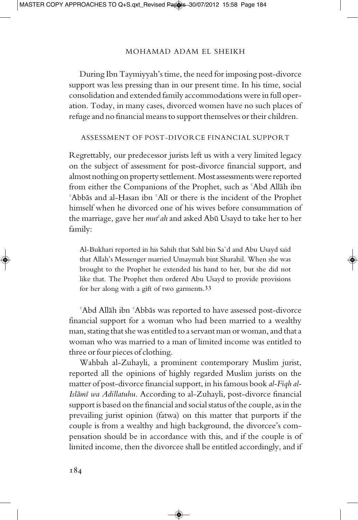During Ibn Taymiyyah's time, the need for imposing post-divorce support was less pressing than in our present time. In his time, social consolidation and extended family accommodations were in full operation. Today, in many cases, divorced women have no such places of refuge and no financial means to support themselves or their children.

#### ASSESSMENT OF POST-DIVORCE FINANCIAL SUPPORT

Regrettably, our predecessor jurists left us with a very limited legacy on the subject of assessment for post-divorce financial support, and almost nothing on property settlement. Most assessments were reported from either the Companions of the Prophet, such as 'Abd Allāh ibn *Abbas and al-Hasan ibn 'Alī or there is the incident of the Prophet* himself when he divorced one of his wives before consummation of the marriage, gave her *mut<sup>c</sup>ah* and asked Abū Usayd to take her to her family:

Al-Bukhari reported in his Sahih that Sahl bin Sa`d and Abu Usayd said that Allah's Messenger married Umaymah bint Sharahil. When she was brought to the Prophet he extended his hand to her, but she did not like that. The Prophet then ordered Abu Usayd to provide provisions for her along with a gift of two garments. 33

'Abd Allāh ibn 'Abbās was reported to have assessed post-divorce financial support for a woman who had been married to a wealthy man, stating that she was entitled to a servant man or woman, and that a woman who was married to a man of limited income was entitled to three or four pieces of clothing.

Wahbah al-Zuhayli, a prominent contemporary Muslim jurist, reported all the opinions of highly regarded Muslim jurists on the matter of post-divorce financial support, in his famous book *al-Fiqh al-Islāmī wa Adillatuhu*. According to al-Zuhayli, post-divorce financial support is based on the financial and social status of the couple, as in the prevailing jurist opinion (fatwa) on this matter that purports if the couple is from a wealthy and high background, the divorcee's compensation should be in accordance with this, and if the couple is of limited income, then the divorcee shall be entitled accordingly, and if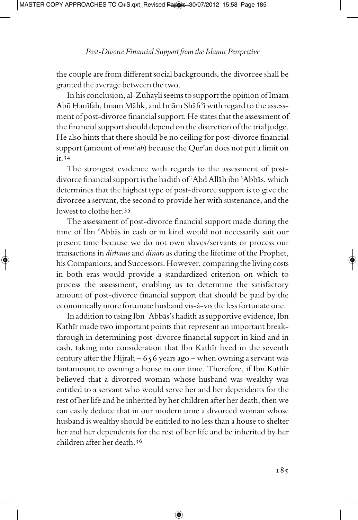the couple are from different social backgrounds, the divorcee shall be granted the average between the two.

In his conclusion, al-Zuhayli seems to support the opinion of Imam Abū Ḥanīfah, Imam Mālik, and Imām Shāfi<sup>c</sup>ī with regard to the assessment of post-divorce financial support. He states that the assessment of the financial support should depend on the discretion of the trial judge. He also hints that there should be no ceiling for post-divorce financial support (amount of *mut<sup>c</sup>ah*) because the Qur'an does not put a limit on it.<sup>34</sup>

The strongest evidence with regards to the assessment of postdivorce financial support is the hadith of 'Abd Allāh ibn 'Abbās, which determines that the highest type of post-divorce support is to give the divorcee a servant, the second to provide her with sustenance, and the lowest to clothe her.<sup>35</sup>

The assessment of post-divorce financial support made during the time of Ibn 'Abbās in cash or in kind would not necessarily suit our present time because we do not own slaves/servants or process our transactions in *dirhams* and *dinārs* as during the lifetime of the Prophet, his Companions, and Successors. However, comparing the living costs in both eras would provide a standardized criterion on which to process the assessment, enabling us to determine the satisfactory amount of post-divorce financial support that should be paid by the economically more fortunate husband vis-à-vis the less fortunate one.

In addition to using Ibn 'Abbās's hadith as supportive evidence, Ibn Kathīr made two important points that represent an important breakthrough in determining post-divorce financial support in kind and in cash, taking into consideration that Ibn Kathīr lived in the seventh century after the Hijrah –  $656$  years ago – when owning a servant was tantamount to owning a house in our time. Therefore, if Ibn Kathir believed that a divorced woman whose husband was wealthy was entitled to a servant who would serve her and her dependents for the rest of her life and be inherited by her children after her death, then we can easily deduce that in our modern time a divorced woman whose husband is wealthy should be entitled to no less than a house to shelter her and her dependents for the rest of her life and be inherited by her children after her death.<sup>36</sup>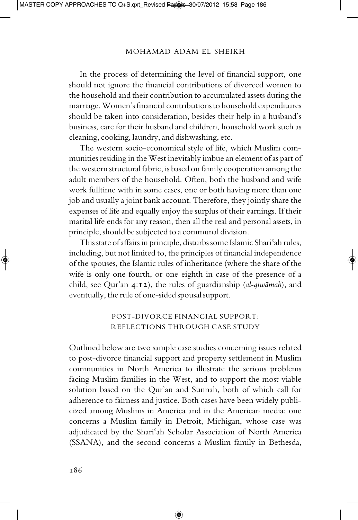In the process of determining the level of financial support, one should not ignore the financial contributions of divorced women to the household and their contribution to accumulated assets during the marriage.Women's financial contributions to household expenditures should be taken into consideration, besides their help in a husband's business, care for their husband and children, household work such as cleaning, cooking, laundry,and dishwashing, etc.

The western socio-economical style of life, which Muslim communities residing in the West inevitably imbue an element of as part of the western structural fabric, is based on family cooperation among the adult members of the household. Often, both the husband and wife work fulltime with in some cases, one or both having more than one job and usually a joint bank account. Therefore, they jointly share the expenses of life and equally enjoy the surplus of their earnings. If their marital life ends for any reason, then all the real and personal assets, in principle, should be subjected to a communal division.

This state of affairs in principle, disturbs some Islamic Shari'ah rules, including, but not limited to, the principles of financial independence of the spouses, the Islamic rules of inheritance (where the share of the wife is only one fourth, or one eighth in case of the presence of a child, see Qur'an 4:12), the rules of guardianship (*al-qiwāmah*), and eventually, the rule of one-sided spousal support.

## POST-DIVORCE FINANCIAL SUPPORT: REFLECTIONS THROUGH CASE STUDY

Outlined below are two sample case studies concerning issues related to post-divorce financial support and property settlement in Muslim communities in North America to illustrate the serious problems facing Muslim families in the West, and to support the most viable solution based on the Qur'an and Sunnah, both of which call for adherence to fairness and justice. Both cases have been widely publicized among Muslims in America and in the American media: one concerns a Muslim family in Detroit, Michigan, whose case was adjudicated by the Shari<sup>c</sup>ah Scholar Association of North America (SSANA), and the second concerns a Muslim family in Bethesda,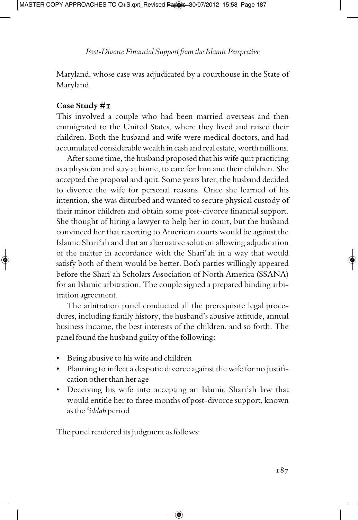Maryland, whose case was adjudicated by a courthouse in the State of Maryland.

### **Case Study #1**

This involved a couple who had been married overseas and then emmigrated to the United States, where they lived and raised their children. Both the husband and wife were medical doctors, and had accumulated considerable wealth in cash and real estate, worth millions.

After some time, the husband proposed that his wife quit practicing as a physician and stay at home, to care for him and their children. She accepted the proposal and quit. Some years later, the husband decided to divorce the wife for personal reasons. Once she learned of his intention, she was disturbed and wanted to secure physical custody of their minor children and obtain some post-divorce financial support. She thought of hiring a lawyer to help her in court, but the husband convinced her that resorting to American courts would be against the Islamic Shari¢ah and that an alternative solution allowing adjudication of the matter in accordance with the Shari¢ah in a way that would satisfy both of them would be better. Both parties willingly appeared before the Shari¢ah Scholars Association of North America (SSANA) for an Islamic arbitration. The couple signed a prepared binding arbitration agreement.

The arbitration panel conducted all the prerequisite legal procedures, including family history, the husband's abusive attitude, annual business income, the best interests of the children, and so forth. The panel found the husband guilty of the following:

- Being abusive to his wife and children
- Planning to inflect a despotic divorce against the wife for no justification other than her age
- Deceiving his wife into accepting an Islamic Shari<sup>c</sup>ah law that would entitle her to three months of post-divorce support, known as the *¢iddah* period

The panel rendered its judgment as follows: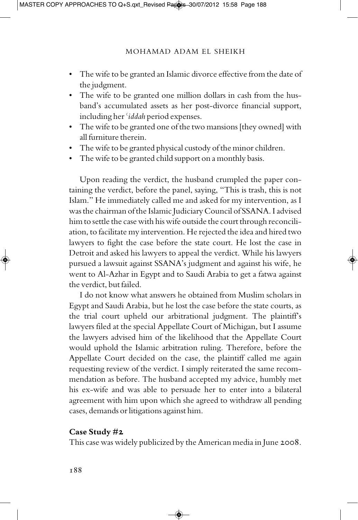- The wife to be granted an Islamic divorce effective from the date of the judgment.
- The wife to be granted one million dollars in cash from the husband's accumulated assets as her post-divorce financial support, including her*¢iddah* period expenses.
- The wife to be granted one of the two mansions [they owned] with all furniture therein.
- The wife to be granted physical custody of the minor children.
- The wife to be granted child support on a monthly basis.

Upon reading the verdict, the husband crumpled the paper containing the verdict, before the panel, saying, "This is trash, this is not Islam." He immediately called me and asked for my intervention, as I was the chairman of the Islamic Judiciary Council of SSANA. I advised him to settle the case with his wife outside the court through reconciliation, to facilitate my intervention. He rejected the ideaand hired two lawyers to fight the case before the state court. He lost the case in Detroit and asked his lawyers to appeal the verdict. While his lawyers pursued a lawsuit against SSANA's judgment and against his wife, he went to Al-Azhar in Egypt and to Saudi Arabia to get a fatwa against the verdict, but failed.

I do not know what answers he obtained from Muslim scholars in Egypt and Saudi Arabia, but he lost the case before the state courts, as the trial court upheld our arbitrational judgment. The plaintiff's lawyers filed at the special Appellate Court of Michigan, but I assume the lawyers advised him of the likelihood that the Appellate Court would uphold the Islamic arbitration ruling. Therefore, before the Appellate Court decided on the case, the plaintiff called me again requesting review of the verdict. I simply reiterated the same recommendation as before. The husband accepted my advice, humbly met his ex-wife and was able to persuade her to enter into a bilateral agreement with him upon which she agreed to withdraw all pending cases, demands or litigations against him.

#### **Case Study #2**

This case was widely publicized by the American media in June 2008.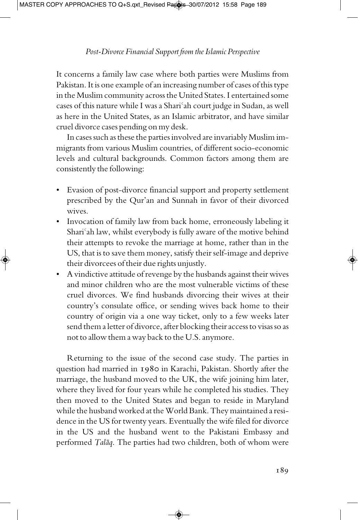It concerns a family law case where both parties were Muslims from Pakistan. It is one example of an increasing number of cases of this type in the Muslim community across the United States. I entertained some cases of this nature while I was a Shari<sup>c</sup>ah court judge in Sudan, as well as here in the United States, as an Islamic arbitrator, and have similar cruel divorce cases pending on my desk.

In cases such as these the parties involved are invariably Muslim immigrants from various Muslim countries, of different socio-economic levels and cultural backgrounds. Common factors among them are consistently the following:

- Evasion of post-divorce financial support and property settlement prescribed by the Qur'an and Sunnah in favor of their divorced wives.
- Invocation of family law from back home, erroneously labeling it Shari<sup>c</sup>ah law, whilst everybody is fully aware of the motive behind their attempts to revoke the marriage at home, rather than in the US, that is to save them money, satisfy their self-image and deprive their divorcees of their due rights unjustly.
- A vindictive attitude of revenge by the husbands against their wives and minor children who are the most vulnerable victims of these cruel divorces. We find husbands divorcing their wives at their country's consulate office, or sending wives back home to their country of origin via a one way ticket, only to a few weeks later send them a letter of divorce, after blocking their access to visas so as not to allow them a way back to the U.S.anymore.

Returning to the issue of the second case study. The parties in question had married in 1980 in Karachi, Pakistan. Shortly after the marriage, the husband moved to the UK, the wife joining him later, where they lived for four years while he completed his studies. They then moved to the United States and began to reside in Maryland while the husband worked at the World Bank. They maintained a residence in the US for twenty years. Eventually the wife filed for divorce in the US and the husband went to the Pakistani Embassy and performed *Talāq*. The parties had two children, both of whom were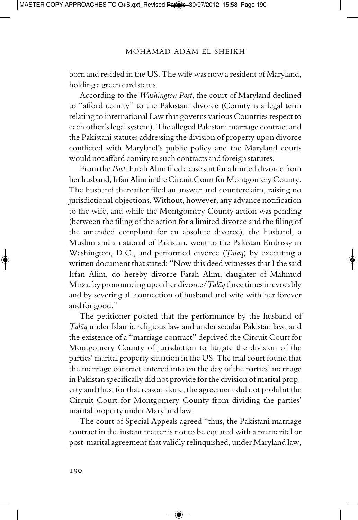born and resided in the US. The wife was now a resident of Maryland, holding a green card status.

According to the *Washington Post*, the court of Maryland declined to "afford comity" to the Pakistani divorce (Comity is a legal term relating to international Law that governs various Countries respect to each other's legal system). The alleged Pakistani marriage contract and the Pakistani statutes addressing the division of property upon divorce conflicted with Maryland's public policy and the Maryland courts would notafford comity to such contractsand foreign statutes.

From the *Post*: Farah Alim filed a case suit for a limited divorce from her husband, Irfan Alim in the Circuit Court for Montgomery County. The husband thereafter filed an answer and counterclaim, raising no jurisdictional objections. Without, however, any advance notification to the wife, and while the Montgomery County action was pending (between the filing of the action for a limited divorce and the filing of the amended complaint for an absolute divorce), the husband, a Muslim and a national of Pakistan, went to the Pakistan Embassy in Washington, D.C., and performed divorce (*Talaq*) by executing a written document that stated: "Now this deed witnesses that I the said Irfan Alim, do hereby divorce Farah Alim, daughter of Mahmud Mirza, by pronouncing upon her divorce/*Talāq* three times irrevocably and by severing all connection of husband and wife with her forever and for good."

The petitioner posited that the performance by the husband of Talāq under Islamic religious law and under secular Pakistan law, and the existence of a "marriage contract" deprived the Circuit Court for Montgomery County of jurisdiction to litigate the division of the parties' marital property situation in the US. The trial court found that the marriage contract entered into on the day of the parties' marriage in Pakistan specifically did not provide for the division of marital property and thus, for that reason alone, the agreement did not prohibit the Circuit Court for Montgomery County from dividing the parties' marital property under Maryland law.

The court of Special Appeals agreed "thus, the Pakistani marriage contract in the instant matter is not to be equated with a premarital or post-marital agreement that validly relinquished, under Maryland law,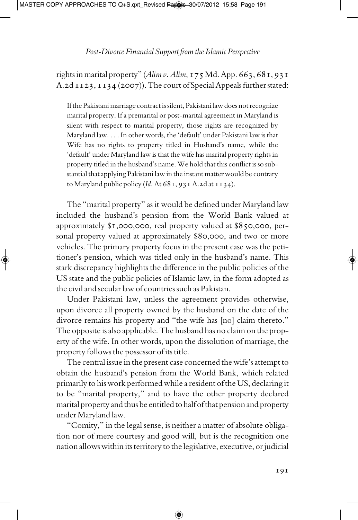rights in marital property" (*Alim v. Alim*, 175 Md. App. 663, 681, 931 A.2d II23, II34 (2007)). The court of Special Appeals further stated:

If the Pakistani marriage contract is silent, Pakistani law does not recognize marital property. If a premarital or post-marital agreement in Maryland is silent with respect to marital property, those rights are recognized by Maryland law. . . . In other words, the 'default' under Pakistani law is that Wife has no rights to property titled in Husband's name, while the 'default' under Maryland law is that the wife has marital property rights in property titled in the husband's name. We hold that this conflict is so substantial that applying Pakistani law in the instant matter would be contrary to Maryland public policy (*Id.*At 681, 931A.2d at 1134).

The "marital property" as it would be defined under Maryland law included the husband's pension from the World Bank valued at approximately \$1,000,000, real property valued at \$850,000, personal property valued at approximately \$80,000, and two or more vehicles. The primary property focus in the present case was the petitioner's pension, which was titled only in the husband's name. This stark discrepancy highlights the difference in the public policies of the US state and the public policies of Islamic law, in the form adopted as the civiland secularlaw of countries such as Pakistan.

Under Pakistani law, unless the agreement provides otherwise, upon divorce all property owned by the husband on the date of the divorce remains his property and "the wife has [no] claim thereto." The opposite is also applicable. The husband has no claim on the property of the wife. In other words, upon the dissolution of marriage, the property follows the possessor of its title.

The central issue in the present case concerned the wife's attempt to obtain the husband's pension from the World Bank, which related primarily to his work performed while a resident of the US, declaring it to be "marital property," and to have the other property declared marital property and thus be entitled to half ofthat pension and property under Maryland law.

"Comity," in the legal sense, is neither a matter of absolute obligation nor of mere courtesy and good will, but is the recognition one nation allows within its territory to the legislative, executive, or judicial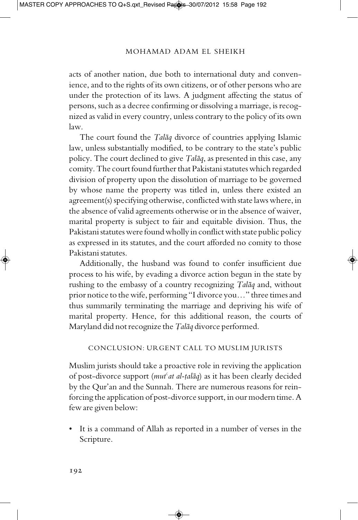acts of another nation, due both to international duty and convenience, and to the rights of its own citizens, or of other persons who are under the protection of its laws. A judgment affecting the status of persons, such asa decree confirming or dissolving a marriage, is recognized as valid in every country, unless contrary to the policy of its own law.

The court found the *Talaq* divorce of countries applying Islamic law, unless substantially modified, to be contrary to the state's public policy. The court declined to give *Talāq*, as presented in this case, any comity. The court found further that Pakistani statutes which regarded division of property upon the dissolution of marriage to be governed by whose name the property was titled in, unless there existed an agreement(s) specifying otherwise, conflicted with state laws where, in the absence of valid agreements otherwise or in the absence of waiver, marital property is subject to fair and equitable division. Thus, the Pakistani statutes were found wholly in conflict with state public policy as expressed in its statutes, and the court afforded no comity to those Pakistani statutes.

Additionally, the husband was found to confer insufficient due process to his wife, by evading a divorce action begun in the state by rushing to the embassy of a country recognizing *Talaq* and, without prior notice to the wife, performing "I divorce you..." three times and thus summarily terminating the marriage and depriving his wife of marital property. Hence, for this additional reason, the courts of Maryland did not recognize the *Talāq* divorce performed.

#### CONCLUSION: URGENT CALL TO MUSLIM JURISTS

Muslim jurists should take a proactive role in reviving the application of post-divorce support (*mut<sup>c</sup>at al-talaq*) as it has been clearly decided by the Qur'an and the Sunnah. There are numerous reasons for reinforcing the application of post-divorce support, in our modern time.A few are given below:

• It is a command of Allah as reported in a number of verses in the Scripture.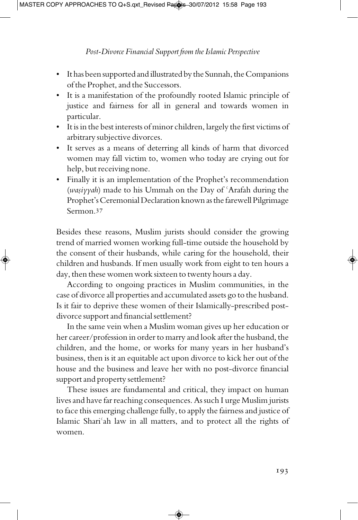- It has been supported and illustrated by the Sunnah, the Companions of the Prophet, and the Successors.
- It is a manifestation of the profoundly rooted Islamic principle of justice and fairness for all in general and towards women in particular.
- It is in the best interests of minor children, largely the first victims of arbitrary subjective divorces.
- It serves as a means of deterring all kinds of harm that divorced women may fall victim to, women who today are crying out for help, but receiving none.
- Finally it is an implementation of the Prophet's recommendation (*wasiyyah*) made to his Ummah on the Day of 'Arafah during the Prophet's Ceremonial Declaration known as the farewell Pilgrimage Sermon.<sup>37</sup>

Besides these reasons, Muslim jurists should consider the growing trend of married women working full-time outside the household by the consent of their husbands, while caring for the household, their children and husbands. If men usually work from eight to ten hours a day, then these women work sixteen to twenty hours a day.

According to ongoing practices in Muslim communities, in the case of divorce all properties and accumulated assets go to the husband. Is it fair to deprive these women of their Islamically-prescribed postdivorce support and financial settlement?

In the same vein when a Muslim woman gives up her education or her career/profession in order to marry and look after the husband, the children, and the home, or works for many years in her husband's business, then is it an equitable act upon divorce to kick her out of the house and the business and leave her with no post-divorce financial support and property settlement?

These issues are fundamental and critical, they impact on human lives and have far reaching consequences. As such I urge Muslim jurists to face this emerging challenge fully, to apply the fairness and justice of Islamic Shari<sup>c</sup>ah law in all matters, and to protect all the rights of women.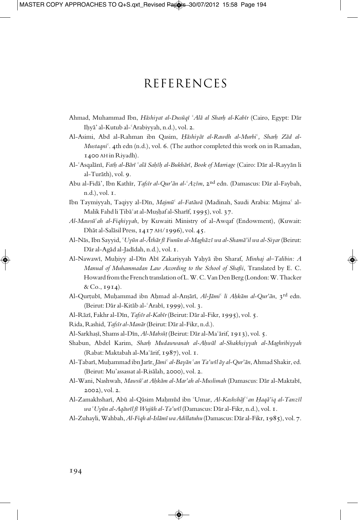## **REFERENCES**

- Ahmad, Muhammad Ibn, *Hāshiyat al-Dusūqī* 'Alā al Sharh al-Kabīr (Cairo, Egypt: Dār Ihyā' al-Kutub al-ʿArabiyyah, n.d.), vol. 2.
- Al-Asimi, Abd al-Rahman ibn Qasim, *Hāshiyāt al-Rawdh al-Murbi<sup>c</sup>, Sharh Zād al-Mustaqni¢*. 4th edn (n.d.), vol. 6. (The author completed this work on in Ramadan, 1400 AH in Riyadh).
- Al-¢Asqal¥nÏ, *Fat^ al-B¥rÏ ¢al¥ Sa^Ï^ al-Bukh¥rÏ*, *Book of Marriage* (Cairo: D¥r al-Rayy¥n li al-Turāth), vol. 9.
- Abu al-Fidā', Ibn Kathīr, *Tafsīr al-Qur'ān al-ʿAzīm*, 2<sup>nd</sup> edn. (Damascus: Dār al-Faybah, n.d.), vol. 1.
- Ibn Taymiyyah, Taqiyy al-Dīn, Majmū<sup>c</sup> al-Fatāwā (Madinah, Saudi Arabia: Majma<sup>c</sup> al-Malik Fahd li Țibāʿat al-Mușḥaf al-Sharīf, 1995), vol. 37.
- *Al-Maws‰¢ah al-Fiqhiyyah*, by Kuwaiti Ministry of al-Awqaf (Endowment), (Kuwait: Dhāt al-Salāsil Press, 1417 AH/1996), vol. 45.
- Al-N¥s, Ibn Sayyid, *¢Uy‰n al-®th¥r fÏ Fun‰n al-Magh¥zÏ wa al-Sham¥'il wa al-Siyar* (Beirut: Dār al-Agād al-Jadīdah, n.d.), vol. 1.
- Al-NawawÏ, Mu^iyy al-DÏn AbÏ Zakariyyah Ya^y¥ ibn Sharaf, *Minhaj al–Talibin: A Manual of Muhammadan Law According to the School of Shafii*, Translated by E. C. Howard from the French translation of L.W.C.Van Den Berg (London: W. Thacker & Co., 1914).
- Al-Qurțubī, Muḥammad ibn Aḥmad al-Anșārī, *Al-Jāmi<sup>ç</sup> li Aḥkām al-Qur'ān*, 3rd edn. (Beirut: Dār al-Kitāb al-ʿArabī, 1999), vol. 3.
- Al-Rāzī, Fakhr al-Dīn, *Tafsīr al-Kabīr* (Beirut: Dār al-Fikr, 1995), vol. 5.
- Rida, Rashid, *Tafsīr al-Manār* (Beirut: Dār al-Fikr, n.d.).
- Al-Sarkhașī, Shams al-Dīn, *Al-Mabsūt* (Beirut: Dār al-Ma<sup>c</sup>ārif, 1913), vol. 5.
- Shabun, Abdel Karim, *Shar^ Mudawwanah al-A^w¥l al-Shakh|iyyah al-Maghribiyyah* (Rabat: Maktabah al-Ma<sup>c</sup>ārif, 1987), vol. 1.
- Al-Țabarī, Muḥammad ibn Jarīr, *Jāmi<sup>ç</sup> al-Bayān <sup>c</sup>an Ta'wīl āy al-Qur'ān*, Ahmad Shakir, ed. (Beirut: Mu'assassat al-Risālah, 2000), vol. 2.
- Al-Wani, Nashwah, Mawsū<sup>c</sup>at *Ahkām al-Mar'ah al-Muslimah* (Damascus: Dār al-Maktabī, 2002), vol. 2.
- Al-ZamakhsharÏ, Ab‰ al-Q¥sim Ma^m‰d ibn ¢Umar, *Al-Kashsh¥f ¢an ¤aq¥'iq al-TanzÏl wa ¢Uy‰n al-Aq¥wÏl fÏ Wuj‰h al-Ta'wÏl* (Damascus: D¥ral-Fikr, n.d.), vol. 1.
- Al-Zuhayli, Wahbah, Al-Fiqh al-Islāmī wa Adillatuhu (Damascus: Dār al-Fikr, 1985), vol. 7.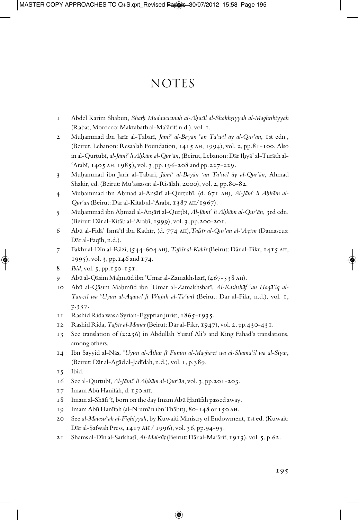## **NOTES**

- 1 Abdel Karim Shabun, *Shar^ Mudawwanah al-A^w¥l al-Shakh|iyyah al-Maghribiyyah* (Rabat, Morocco: Maktabath al-Ma'ārif: n.d.), vol. I.
- 2 Muhammad ibn Jarīr al-Țabarī, *Jāmi<sup>ç</sup> al-Bayān <sup>ç</sup>an Ta'wīl āy al-Qur'ān*, 1st edn., (Beirut, Lebanon: Resaalah Foundation, 1415 AH, 1994), vol. 2, pp.81-100. Also in al-Qurțubī, al-Jāmi<sup>ç</sup> li Ahkām al-Qur'ān, (Beirut, Lebanon: Dār Ihyā' al-Turāth al $f$ Arabī, 1405 AH, 1985), vol. 3, pp.196-208 and pp.227-229.
- 3 Muhammad ibn Jarīr al-Țabarī, *Jāmi<sup>ç</sup> al-Bayān <sup>c</sup>an Ta'wīl āy al-Qur'ān*, Ahmad Shakir, ed. (Beirut: Mu'assassat al-Risālah, 2000), vol. 2, pp.80-82.
- 4 Muhammad ibn Ahmad al-Anșārī al-Qurțubī, (d. 671 AH), *Al-Jām<sup>c</sup> li Ahkām al-Qur'ān* (Beirut: Dār al-Kitāb al-ʿArabī, 1387 AH/1967).
- 5 Muhammad ibn Ahmad al-Anșārī al-Qurțbī, *Al-Jāmi<sup>¢</sup> li Ahkām al-Qur'ān*, 3rd edn.  $(Beirut: Dār al-Kitāb al-'Arabī, 1999), vol. 3, pp.200-20I.$
- 6 Abū al-Fidā' Ismā<sup>c</sup>īl ibn Kathīr, (d. 774 АН), Tafsīr al-Qur'ān al-ʿAzīm (Damascus: Dār al-Faqīh, n.d.).
- 7 Fakhr al-Dīn al-Rāzī, (544-604 АН), *Tafsīr al-Kabīr* (Beirut: Dār al-Fikr, 1415 АН, 1995), vol. 3, pp.146 and 174.
- 8 *Ibid*, vol. 5, pp.150-151.
- 9 Abū al-Qāsim Maḥmūd ibn 'Umar al-Zamakhsharī, (467-538 AH).
- 10 Abū al-Qāsim Mahmūd ibn <sup>€</sup>Umar al-Zamakhsharī, *Al-Kashshāf <sup>€</sup>an Haqā'iq al-TanzÏl wa ¢Uy‰n al-Aq¥wÏl fÏ Wuj‰h al-Ta'wÏl* (Beirut: D¥r al-Fikr, n.d.), vol. 1, p.337.
- 11 Rashid Rida wasa Syrian-Egyptian jurist, 1865-1935.
- 12 Rashid Rida, *Tafsīr al-Manār* (Beirut: Dār al-Fikr, 1947), vol. 2, pp.430-431.
- 13 See translation of (2:236) in Abdullah Yusuf Ali's and King Fahad's translations, among others.
- 14 Ibn Sayyid al-N¥s, *¢Uy‰n al-®th¥r fÏ Fun‰n al-Magh¥zÏ wa al-Sham¥'il wa al-Siyar*, (Beirut: Dār al-Agād al-Jadīdah, n.d.), vol. 1, p.389.
- 15 Ibid.
- 16 See al-Qurțubī, *Al-Jāmi<sup>c</sup> li Aḥkām al-Qur'ān*, vol. 3, pp.201-203.
- 17 Imam Abū Ḥanīfah, d. 150 лн.
- 18 Imam al-Shafi 'i, born on the day Imam Abū Hanīfah passed away.
- 19 Imam Abū Ḥanīfah (al-N°umān ibn Thābit), 80-148 or 150 AH.
- 20 See al-Mawsū<sup>c</sup>ah al-Fiqhiyyah, by Kuwaiti Ministry of Endowment, 1st ed. (Kuwait: Dār al-Safwah Press,  $1417$  AH  $/$  1996), vol. 36, pp.94-95.
- 21 Shams al-Dīn al-Sarkhașī, *Al-Mabsūt* (Beirut: Dār al-Ma<sup>c</sup>ārif, 1913), vol. 5, p.62.